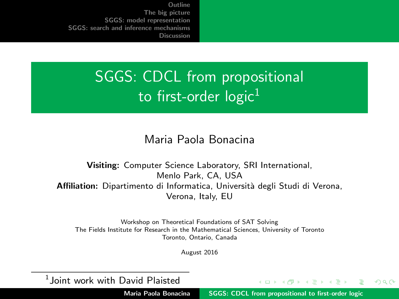# <span id="page-0-0"></span>SGGS: CDCL from propositional to first-order  $logic<sup>1</sup>$

#### Maria Paola Bonacina

Visiting: Computer Science Laboratory, SRI International, Menlo Park, CA, USA Affiliation: Dipartimento di Informatica, Università degli Studi di Verona, Verona, Italy, EU

Workshop on Theoretical Foundations of SAT Solving The Fields Institute for Research in the Mathematical Sciences, University of Toronto Toronto, Ontario, Canada

August 2016

 $^1$ Joint work with David Plaisted

Maria Paola Bonacina | [SGGS: CDCL from propositional to first-order logic](#page-37-0)

イロト イ団ト イミト イミ

つくい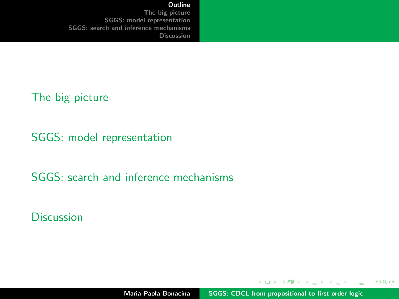**[Outline](#page-1-0)** 

<span id="page-1-0"></span>[The big picture](#page-2-0) [SGGS: model representation](#page-5-0) [SGGS: search and inference mechanisms](#page-22-0) [Discussion](#page-35-0)

[The big picture](#page-2-0)

[SGGS: model representation](#page-5-0)

[SGGS: search and inference mechanisms](#page-22-0)

**[Discussion](#page-35-0)** 

 $\left\{ \begin{array}{ccc} 1 & 0 & 0 \\ 0 & 1 & 0 \end{array} \right.$ 

重

 $298$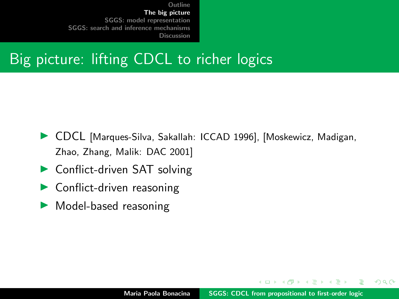## <span id="page-2-0"></span>Big picture: lifting CDCL to richer logics

- ▶ CDCL [Marques-Silva, Sakallah: ICCAD 1996], [Moskewicz, Madigan, Zhao, Zhang, Malik: DAC 2001]
- $\triangleright$  Conflict-driven SAT solving
- $\blacktriangleright$  Conflict-driven reasoning
- $\blacktriangleright$  Model-based reasoning

イロメ マ桐 トマ ヨ トマ ヨメ

 $2Q$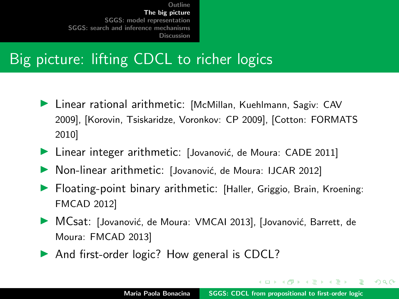# Big picture: lifting CDCL to richer logics

- ▶ Linear rational arithmetic: [McMillan, Kuehlmann, Sagiv: CAV 2009], [Korovin, Tsiskaridze, Voronkov: CP 2009], [Cotton: FORMATS 2010]
- $\blacktriangleright$  Linear integer arithmetic: [Jovanović, de Moura: CADE 2011]
- $\triangleright$  Non-linear arithmetic: [Jovanović, de Moura: IJCAR 2012]
- **I** Floating-point binary arithmetic: [Haller, Griggio, Brain, Kroening: FMCAD 2012]
- ▶ MCsat: [Jovanović, de Moura: VMCAI 2013], [Jovanović, Barrett, de Moura: FMCAD 2013]
- $\triangleright$  And first-order logic? How general is CDCL?

イロメ イ押 トイラ トイラメー

 $298$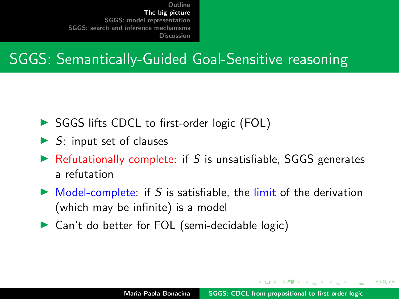## SGGS: Semantically-Guided Goal-Sensitive reasoning

- ▶ SGGS lifts CDCL to first-order logic (FOL)
- $\triangleright$  S: input set of clauses
- $\triangleright$  Refutationally complete: if S is unsatisfiable, SGGS generates a refutation
- $\triangleright$  Model-complete: if S is satisfiable, the limit of the derivation (which may be infinite) is a model
- $\triangleright$  Can't do better for FOL (semi-decidable logic)

マタンマミ トマミト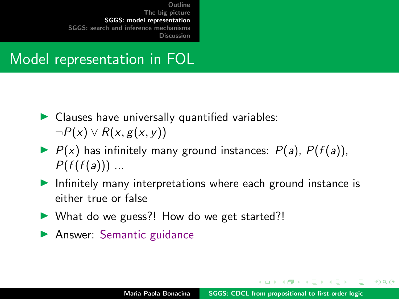## <span id="page-5-0"></span>Model representation in FOL

- $\blacktriangleright$  Clauses have universally quantified variables:  $\neg P(x) \vee R(x, g(x, y))$
- $\blacktriangleright$   $P(x)$  has infinitely many ground instances:  $P(a)$ ,  $P(f(a))$ ,  $P(f(f(a)))$  ...
- Infinitely many interpretations where each ground instance is either true or false
- $\triangleright$  What do we guess?! How do we get started?!
- $\blacktriangleright$  Answer: Semantic guidance

イロメ イ押 トラ ミトラ ミト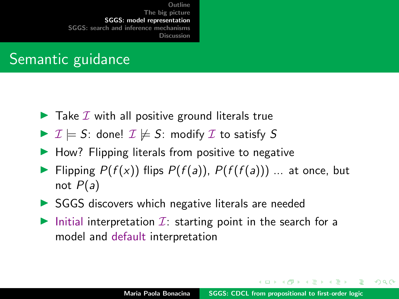# Semantic guidance

- $\blacktriangleright$  Take  $\mathcal I$  with all positive ground literals true
- $\triangleright$   $\mathcal{I} \models S$ : done!  $\mathcal{I} \not\models S$ : modify  $\mathcal{I}$  to satisfy S
- $\blacktriangleright$  How? Flipping literals from positive to negative
- Flipping  $P(f(x))$  flips  $P(f(a))$ ,  $P(f(f(a)))$  ... at once, but not  $P(a)$
- $\triangleright$  SGGS discovers which negative literals are needed
- Initial interpretation  $\mathcal{I}$ : starting point in the search for a model and default interpretation

イロメ マ桐 トマ ヨ トマ ヨメ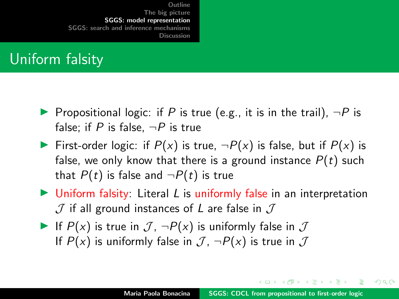## Uniform falsity

- **Propositional logic: if P is true (e.g., it is in the trail),**  $\neg P$  is false; if P is false,  $\neg P$  is true
- First-order logic: if  $P(x)$  is true,  $\neg P(x)$  is false, but if  $P(x)$  is false, we only know that there is a ground instance  $P(t)$  such that  $P(t)$  is false and  $\neg P(t)$  is true
- $\triangleright$  Uniform falsity: Literal L is uniformly false in an interpretation  $J$  if all ground instances of L are false in  $J$
- If  $P(x)$  is true in  $\mathcal{J}$ ,  $\neg P(x)$  is uniformly false in  $\mathcal J$ If  $P(x)$  is uniformly false in  $\mathcal{J}$ ,  $\neg P(x)$  is true in  $\mathcal{J}$

イロト イ押 トイモト イモトー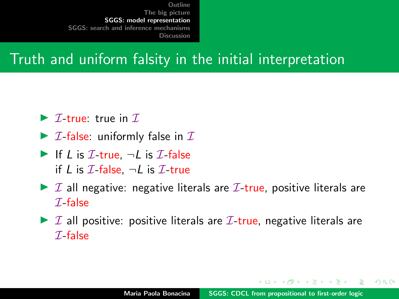# Truth and uniform falsity in the initial interpretation

- $\triangleright$  *T*-true: true in *T*.
- $\triangleright$  *I*-false: uniformly false in *I*
- If L is  $\mathcal{I}\text{-true}$ ,  $\neg L$  is  $\mathcal{I}\text{-false}$ if L is  $\mathcal{I}$ -false,  $\neg L$  is  $\mathcal{I}$ -true
- $\triangleright$  I all negative: negative literals are I-true, positive literals are  $\mathcal I$ -false
- $\triangleright$  I all positive: positive literals are I-true, negative literals are  $\mathcal I$ -false

オター・オティ オティ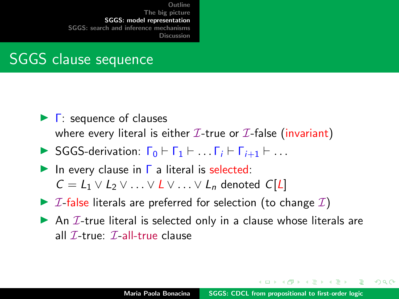## SGGS clause sequence

- $\blacktriangleright$   $\Gamma$ : sequence of clauses where every literal is either  $\mathcal{I}\text{-true}$  or  $\mathcal{I}\text{-false}$  (invariant)
- $\triangleright$  SGGS-derivation:  $\Gamma_0 \vdash \Gamma_1 \vdash \ldots \Gamma_i \vdash \Gamma_{i+1} \vdash \ldots$
- In every clause in  $\Gamma$  a literal is selected:  $C = L_1 \vee L_2 \vee \ldots \vee L \vee \ldots \vee L_n$  denoted  $C[L]$
- $\triangleright$  *I*-false literals are preferred for selection (to change *I*)
- An  $I$ -true literal is selected only in a clause whose literals are all  $\mathcal{I}\text{-true}$ :  $\mathcal{I}\text{-all-true}$  clause

イロメ イ押 トイモ トイモド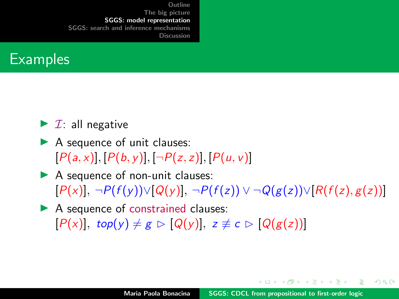

- $\blacktriangleright$  *I*: all negative
- $\blacktriangleright$  A sequence of unit clauses:  $[P(a, x)], [P(b, y)], [\neg P(z, z)], [P(u, v)]$
- $\blacktriangleright$  A sequence of non-unit clauses:  $[P(x)], \neg P(f(y)) \vee [Q(y)], \neg P(f(z)) \vee \neg Q(g(z)) \vee [R(f(z), g(z))]$
- $\blacktriangleright$  A sequence of constrained clauses:  $[P(x)]$ , top(y)  $\neq g \triangleright [Q(y)]$ ,  $z \neq c \triangleright [Q(g(z))]$

す例 トラ ミトラ ミト

つくへ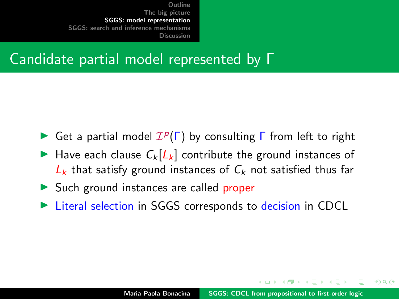### Candidate partial model represented by Γ

- Get a partial model  $\mathcal{I}^p(\Gamma)$  by consulting  $\Gamma$  from left to right
- Have each clause  $C_k[L_k]$  contribute the ground instances of  $L_k$  that satisfy ground instances of  $C_k$  not satisfied thus far
- $\triangleright$  Such ground instances are called proper
- Eiteral selection in SGGS corresponds to decision in CDCL

イロメ マ桐 トマ ヨ トマ ヨメ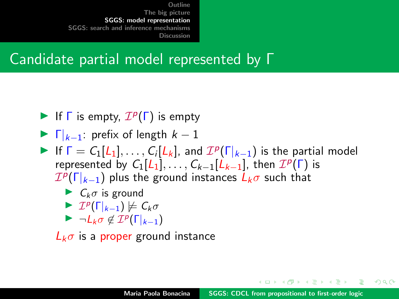### Candidate partial model represented by Γ

- If  $\Gamma$  is empty,  $\mathcal{I}^p(\Gamma)$  is empty
- $\blacktriangleright$   $\Gamma|_{k-1}$ : prefix of length  $k-1$
- If  $\Gamma = C_1[L_1], \ldots, C_i[L_k]$ , and  $\mathcal{I}^p(\Gamma|_{k-1})$  is the partial model represented by  $C_1[L_1], \ldots, C_{k-1}[\tilde{L}_{k-1}],$  then  $\mathcal{I}^p(\Gamma)$  is  ${\mathcal I}^p(\Gamma|_{k-1})$  plus the ground instances  $\dot L_k\sigma$  such that

$$
\blacktriangleright C_k \sigma \text{ is ground}
$$

$$
\blacktriangleright \mathcal{I}^p(\Gamma|_{k-1}) \not\models C_k \sigma
$$

 $\blacktriangleright \neg L_k \sigma \notin \mathcal{I}^p(\Gamma|_{k-1})$ 

 $L_k \sigma$  is a proper ground instance

 $\mathcal{A}$  and  $\mathcal{A}$  . In the set of  $\mathcal{B}$  is a set of  $\mathcal{B}$  is a set of  $\mathcal{B}$  is a set of  $\mathcal{B}$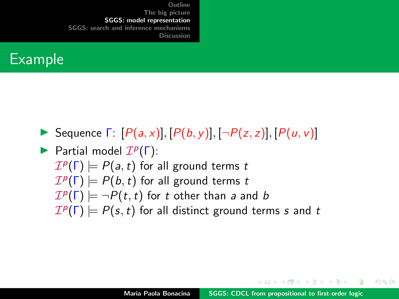#### Example

- Sequence  $\Gamma: [P(a,x)], [P(b,y)], [\neg P(z,z)], [P(u,v)]$
- Partial model  $\mathcal{I}^p(\Gamma)$ :  $\mathcal{I}^p(\Gamma) \models P(a,t)$  for all ground terms  $t$  $\mathcal{I}^p(\Gamma) \models P(b,t)$  for all ground terms  $t$  $\mathcal{I}^p(\Gamma) \models \neg P(t,t)$  for  $t$  other than  $a$  and  $b$  $\mathcal{I}^p(\Gamma) \models P(s,t)$  for all distinct ground terms s and t

イロメ イ押 トラ ミトラ ミント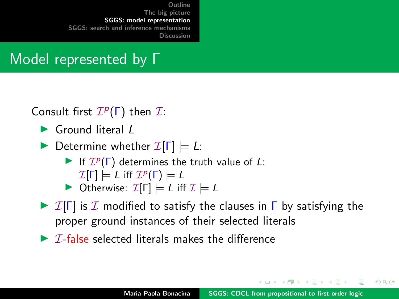## Model represented by Γ

Consult first  $\mathcal{I}^p(\Gamma)$  then  $\mathcal{I}$ :

- $\blacktriangleright$  Ground literal  $\ell$
- **Determine whether**  $\mathcal{I}[\Gamma] \models L$ :
	- If  $\mathcal{I}^p(\Gamma)$  determines the truth value of L:
		- $\mathcal{I}[\mathsf{\Gamma}]\models \mathsf{\mathsf{L}}$  iff  $\mathcal{I}^p(\mathsf{\Gamma})\models \mathsf{\mathsf{L}}$
	- $\triangleright$  Otherwise:  $\mathcal{I}[\Gamma] \models L$  iff  $\mathcal{I} \models L$
- $\triangleright$  I[ $\Gamma$ ] is I modified to satisfy the clauses in  $\Gamma$  by satisfying the proper ground instances of their selected literals
- $\triangleright$  *T*-false selected literals makes the difference

イロメ イ押 トラ ミトラ ミト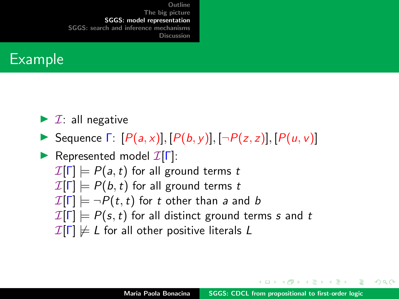

- $\blacktriangleright$  *I*: all negative
- Sequence  $\Gamma: [P(a,x)], [P(b,y)], [\neg P(z,z)], [P(u,v)]$

Represented model  $\mathcal{I}[\Gamma]$ :  $\mathcal{I}[\Gamma] \models P(a,t)$  for all ground terms t  $\mathcal{I}[\Gamma] \models P(b, t)$  for all ground terms t  $\mathcal{I}[\Gamma] \models \neg P(t, t)$  for t other than a and b  $\mathcal{I}[\Gamma] \models P(s, t)$  for all distinct ground terms s and t  $\mathcal{I}[\Gamma] \not\models L$  for all other positive literals L

イロメ マ桐 トマ ヨ トマ ヨメ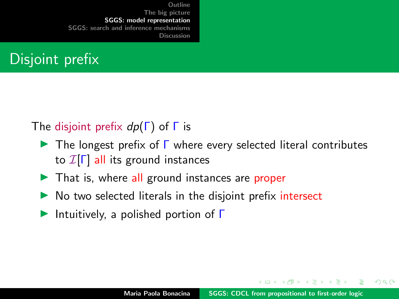# Disjoint prefix

#### The disjoint prefix  $dp(\Gamma)$  of  $\Gamma$  is

- $\triangleright$  The longest prefix of  $\Gamma$  where every selected literal contributes to  $\mathcal{I}[\Gamma]$  all its ground instances
- $\blacktriangleright$  That is, where all ground instances are proper
- $\triangleright$  No two selected literals in the disjoint prefix intersect
- Intuitively, a polished portion of  $\Gamma$

イロメ マ桐 トマ ヨ トマ ヨメ

つくへ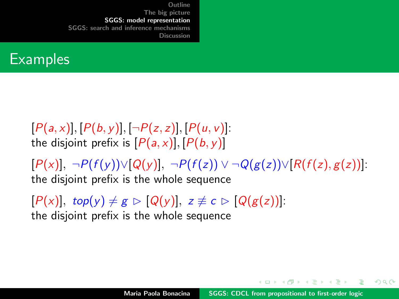#### **Examples**

 $[P(a, x)], [P(b, y)], [\neg P(z, z)], [P(u, v)].$ the disjoint prefix is  $[P(a, x)], [P(b, y)]$ 

 $[P(x)], \neg P(f(y)) \vee [Q(y)], \neg P(f(z)) \vee \neg Q(g(z)) \vee [R(f(z), g(z))].$ the disjoint prefix is the whole sequence

 $[P(x)]$ , top(y)  $\neq g \triangleright [Q(y)]$ ,  $z \not\equiv c \triangleright [Q(g(z))]$ : the disjoint prefix is the whole sequence

イロメ イ押 トラ ミトラ ミト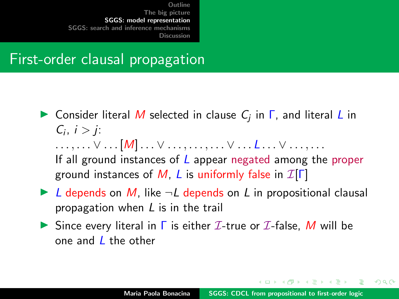#### First-order clausal propagation

- **In** Consider literal M selected in clause  $C_j$  in  $\Gamma$ , and literal L in  $C_i, i > j$ :  $\ldots, \ldots \vee \ldots [M] \ldots \vee \ldots, \ldots, \ldots \vee \ldots L \ldots \vee \ldots \ldots$ If all ground instances of  *appear negated among the proper* ground instances of M, L is uniformly false in  $\mathcal{I}[\Gamma]$
- $\triangleright$  L depends on M, like  $\neg L$  depends on L in propositional clausal propagation when L is in the trail
- Since every literal in  $\Gamma$  is either  $\mathcal I$ -true or  $\mathcal I$ -false, M will be one and L the other

イロメ イ押 レイチャ イチャー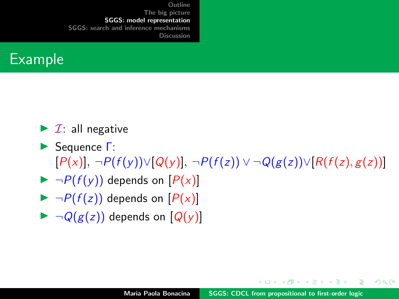

 $\blacktriangleright$  *I*: all negative

- **► Sequence Γ:**  $[P(x)], \neg P(f(y)) \vee [Q(y)], \neg P(f(z)) \vee \neg Q(g(z)) \vee [R(f(z), g(z))]$
- $\blacktriangleright \neg P(f(y))$  depends on  $[P(x)]$
- $\blacktriangleright \neg P(f(z))$  depends on  $[P(x)]$
- $\blacktriangleright \neg Q(g(z))$  depends on  $[Q(y)]$

イロト イタト イミト イミト

 $2Q$ 

遥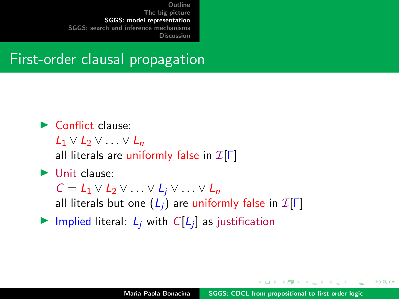#### First-order clausal propagation

#### $\blacktriangleright$  Conflict clause:

 $L_1 \vee L_2 \vee \ldots \vee L_n$ 

all literals are uniformly false in  $\mathcal{I}[\Gamma]$ 

#### $\blacktriangleright$  Unit clause:

 $C = L_1 \vee L_2 \vee \ldots \vee L_i \vee \ldots \vee L_n$ 

all literals but one  $(L_i)$  are uniformly false in  $\mathcal{I}[\Gamma]$ 

Implied literal:  $L_j$  with  $C[L_j]$  as justification

 $\mathcal{A}$  and  $\mathcal{A}$  . In the set of  $\mathcal{B}$  is a set of  $\mathcal{B}$  is a set of  $\mathcal{B}$  is a set of  $\mathcal{B}$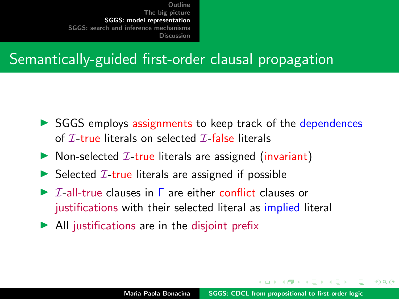## Semantically-guided first-order clausal propagation

- $\triangleright$  SGGS employs assignments to keep track of the dependences of  $I$ -true literals on selected  $I$ -false literals
- $\triangleright$  Non-selected *I*-true literals are assigned (invariant)
- $\triangleright$  Selected *T*-true literals are assigned if possible
- $\triangleright$  I-all-true clauses in  $\Gamma$  are either conflict clauses or justifications with their selected literal as implied literal
- $\blacktriangleright$  All justifications are in the disjoint prefix

マランマ ミンマ ミン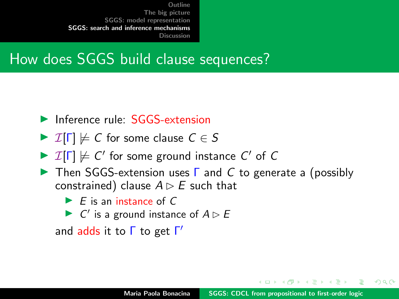## <span id="page-22-0"></span>How does SGGS build clause sequences?

- $\blacktriangleright$  Inference rule:  $SGGS$ -extension
- $\triangleright$   $\mathcal{I}[\Gamma] \not\models C$  for some clause  $C \in S$
- $\triangleright$   $\mathcal{I}[\Gamma] \not\models C'$  for some ground instance  $C'$  of  $C$
- **IF** Then SGGS-extension uses  $\Gamma$  and C to generate a (possibly constrained) clause  $A \triangleright E$  such that
	- $\blacktriangleright$  E is an instance of C
	- $\triangleright$  C' is a ground instance of  $A \triangleright B$

and adds it to Γ to get Γ'

す例 トラ ミトラ ミト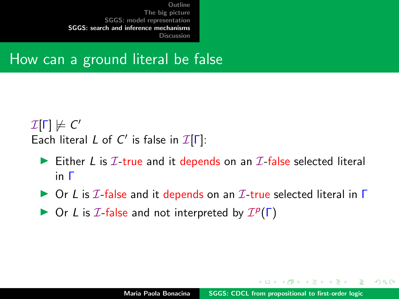#### How can a ground literal be false

 $\mathcal{I}[\mathsf{\Gamma}] \not\models \mathsf{C}'$ Each literal L of C' is false in  $\mathcal{I}[\Gamma]$ :

- Either L is  $I$ -true and it depends on an  $I$ -false selected literal in Γ
- $\triangleright$  Or L is  $I$ -false and it depends on an  $I$ -true selected literal in  $\Gamma$
- $\triangleright$  Or L is  $I$ -false and not interpreted by  $I^p(\Gamma)$

イロメ マ桐 トマ ヨ トマ ヨメ

つくい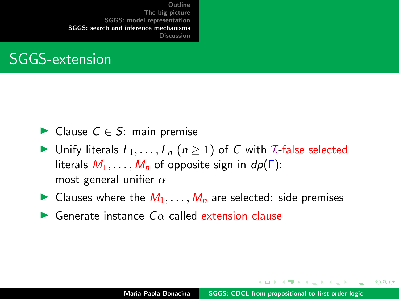## SGGS-extension

- ► Clause  $C \in S$ : main premise
- In Unify literals  $L_1, \ldots, L_n$   $(n \geq 1)$  of C with *I*-false selected literals  $M_1, \ldots, M_n$  of opposite sign in  $dp(\Gamma)$ : most general unifier  $\alpha$
- In Clauses where the  $M_1, \ldots, M_n$  are selected: side premises
- $\blacktriangleright$  Generate instance  $C\alpha$  called extension clause

イロメ イ押 トラ ミトラ ミト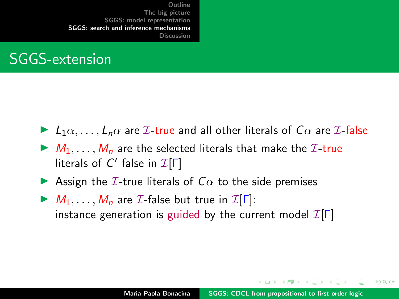## SGGS-extension

- $\blacktriangleright$   $L_1\alpha, \ldots, L_n\alpha$  are  $\mathcal{I}\text{-true}$  and all other literals of  $C\alpha$  are  $\mathcal{I}\text{-false}$
- $\blacktriangleright M_1, \ldots, M_n$  are the selected literals that make the  $\mathcal{I}\text{-true}$ literals of  $C'$  false in  $\mathcal{I}[\Gamma]$
- **IDED** Assign the *I*-true literals of  $C\alpha$  to the side premises
- $M_1, \ldots, M_n$  are *I*-false but true in  $I[\Gamma]$ : instance generation is guided by the current model  $\mathcal{I}[\Gamma]$

イロメ イ押 レイチャ イチャー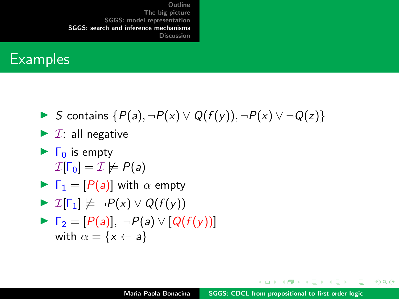#### **Examples**

**IF** S contains  $\{P(a), \neg P(x) \lor Q(f(y)), \neg P(x) \lor \neg Q(z)\}$ 

$$
\blacktriangleright
$$
 *T*: all negative

 $\blacktriangleright$   $\Gamma_0$  is empty  $\mathcal{I}[\Gamma_0] = \mathcal{I} \not\models P(a)$ 

$$
\blacktriangleright \ \Gamma_1 = [P(a)] \text{ with } \alpha \text{ empty}
$$

$$
\blacktriangleright \mathcal{I}[\Gamma_1] \not\models \neg P(x) \vee Q(f(y))
$$

$$
\triangleright \Gamma_2 = [P(a)], \neg P(a) \vee [Q(f(y))]
$$
  
with  $\alpha = \{x \leftarrow a\}$ 

メロメ メ御 メメ ヨメ メヨメー

重

 $298$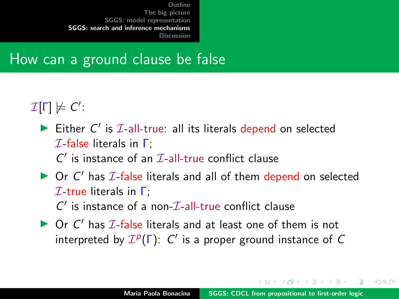#### How can a ground clause be false

 $\mathcal{I}[\Gamma]\not\models C'.$ 

- Either  $C'$  is  $I$ -all-true: all its literals depend on selected  $I$ -false literals in  $\Gamma$ :  $C'$  is instance of an  $\mathcal{I}\text{-all-true}$  conflict clause
- $\triangleright$  Or C' has  $I$ -false literals and all of them depend on selected  $I$ -true literals in  $\Gamma$ :  $C'$  is instance of a non- $\mathcal{I}\text{-}\mathrm{all}\text{-}\mathrm{true}$  conflict clause
- $\triangleright$  Or C' has  $I$ -false literals and at least one of them is not interpreted by  $\mathcal{I}^p(\Gamma)$ : C' is a proper ground instance of C

イロト イ母 トイラト イラトー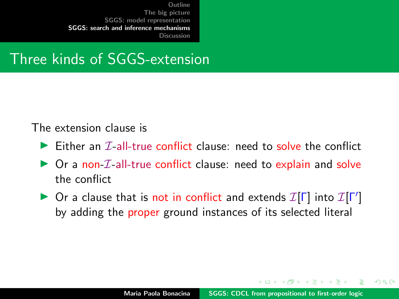### Three kinds of SGGS-extension

#### The extension clause is

- $\triangleright$  Either an  $\mathcal{T}$ -all-true conflict clause: need to solve the conflict
- $\triangleright$  Or a non-*I*-all-true conflict clause: need to explain and solve the conflict
- ▶ Or a clause that is not in conflict and extends  $\mathcal{I}[\Gamma]$  into  $\mathcal{I}[\Gamma']$ by adding the proper ground instances of its selected literal

 $\mathcal{A}$  and  $\mathcal{A}$  . In the set of  $\mathcal{B}$  is a set of  $\mathcal{B}$  is a set of  $\mathcal{B}$  is a set of  $\mathcal{B}$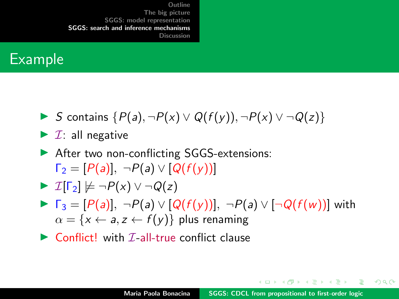#### Example

- **IF** S contains  $\{P(a), \neg P(x) \lor Q(f(y)), \neg P(x) \lor \neg Q(z)\}$
- $\blacktriangleright$  *T*: all negative
- ▶ After two non-conflicting SGGS-extensions:  $\Gamma_2 = [P(a)], \neg P(a) \vee [Q(f(v))]$

$$
\blacktriangleright \ \mathcal{I}[\Gamma_2] \not\models \neg P(x) \vee \neg Q(z)
$$

- $\blacktriangleright \ \Gamma_3 = [P(a)], \ \neg P(a) \vee [Q(f(y))], \ \neg P(a) \vee [\neg Q(f(w))]$  with  $\alpha = \{x \leftarrow a, z \leftarrow f(y)\}\$ plus renaming
- $\triangleright$  Conflict! with *T*-all-true conflict clause

オロメ オタメ オミメ オミメーキ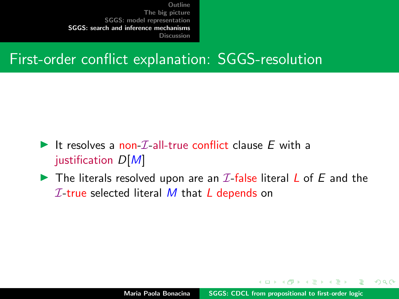## First-order conflict explanation: SGGS-resolution

- It resolves a non- $\mathcal{I}_{-}$ all-true conflict clause E with a justification  $D[M]$
- $\blacktriangleright$  The literals resolved upon are an *I*-false literal *L* of *E* and the  $I$ -true selected literal M that L depends on

イロメ マ桐 トマ ヨ トマ ヨメ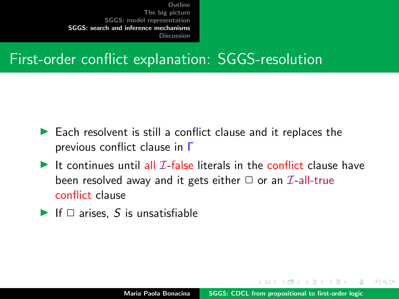## First-order conflict explanation: SGGS-resolution

- $\blacktriangleright$  Each resolvent is still a conflict clause and it replaces the previous conflict clause in Γ
- It continues until all  $\mathcal I$ -false literals in the conflict clause have been resolved away and it gets either  $\Box$  or an  $\mathcal{I}$ -all-true conflict clause
- If  $\Box$  arises, S is unsatisfiable

マタンマミ トマミト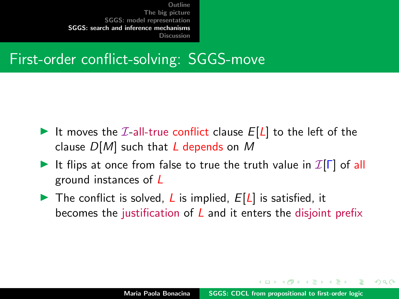## First-order conflict-solving: SGGS-move

- It moves the  $I$ -all-true conflict clause  $E[L]$  to the left of the clause  $D[M]$  such that L depends on M
- It flips at once from false to true the truth value in  $\mathcal{I}[\Gamma]$  of all ground instances of L
- The conflict is solved, L is implied,  $E[L]$  is satisfied, it becomes the justification of  *and it enters the disjoint prefix*

イロメ マ桐 トマ ヨ トマ ヨメ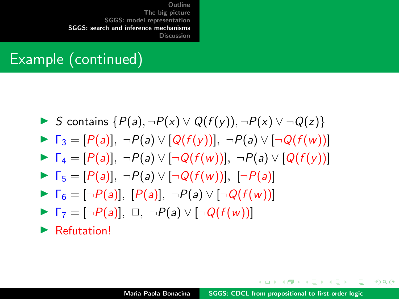## Example (continued)

$$
\triangleright \text{ S contains } \{P(a), \neg P(x) \lor Q(f(y)), \neg P(x) \lor \neg Q(z)\}
$$

$$
\blacktriangleright \Gamma_3 = [P(a)], \ \neg P(a) \vee [Q(f(y))], \ \neg P(a) \vee [\neg Q(f(w))]
$$

- $\blacktriangleright \Gamma_4 = [P(a)], \neg P(a) \vee [\neg Q(f(w))], \neg P(a) \vee [Q(f(v))]$
- $\blacktriangleright \Gamma_5 = [P(a)], \neg P(a) \vee [\neg Q(f(w))], [\neg P(a)]$
- $\blacktriangleright \Gamma_6 = [\neg P(a)], [P(a)], \neg P(a) \vee [\neg Q(f(w))]$
- $\blacktriangleright$   $\Gamma_7 = [\neg P(a)], \square, \neg P(a) \vee [\neg Q(f(w))]$
- $\blacktriangleright$  Refutation!

オロメ オタメ オラメ オラメー

 $\Omega$ 

目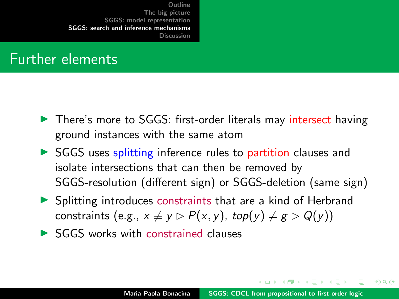#### Further elements

- ▶ There's more to SGGS: first-order literals may intersect having ground instances with the same atom
- $\triangleright$  SGGS uses splitting inference rules to partition clauses and isolate intersections that can then be removed by SGGS-resolution (different sign) or SGGS-deletion (same sign)
- $\triangleright$  Splitting introduces constraints that are a kind of Herbrand constraints (e.g.,  $x \neq y \triangleright P(x, y)$ ,  $top(y) \neq g \triangleright Q(y)$ )
- $\triangleright$  SGGS works with constrained clauses

イロメ イ押 トラ ミトラ ミト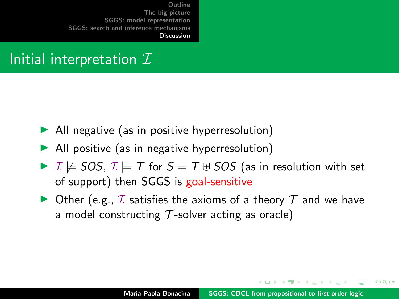## <span id="page-35-0"></span>Initial interpretation  $\mathcal I$

- $\blacktriangleright$  All negative (as in positive hyperresolution)
- $\blacktriangleright$  All positive (as in negative hyperresolution)
- $\triangleright$   $\mathcal{I} \not\models$  SOS,  $\mathcal{I} \models$  T for  $S = T \cup$  SOS (as in resolution with set of support) then SGGS is goal-sensitive
- $\triangleright$  Other (e.g.,  $\mathcal I$  satisfies the axioms of a theory  $\mathcal T$  and we have a model constructing  $T$ -solver acting as oracle)

イロメ マ桐 トマ ヨ トマ ヨメ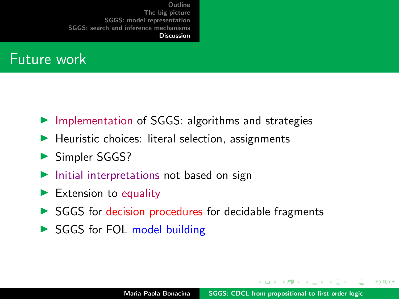#### Future work

- $\triangleright$  Implementation of SGGS: algorithms and strategies
- $\blacktriangleright$  Heuristic choices: literal selection, assignments
- **In Simpler SGGS?**
- $\blacktriangleright$  Initial interpretations not based on sign
- $\blacktriangleright$  Extension to equality
- $\triangleright$  SGGS for decision procedures for decidable fragments
- SGGS for FOL model building

イロメ マ桐 トマ ヨ トマ ヨメ

 $2Q$